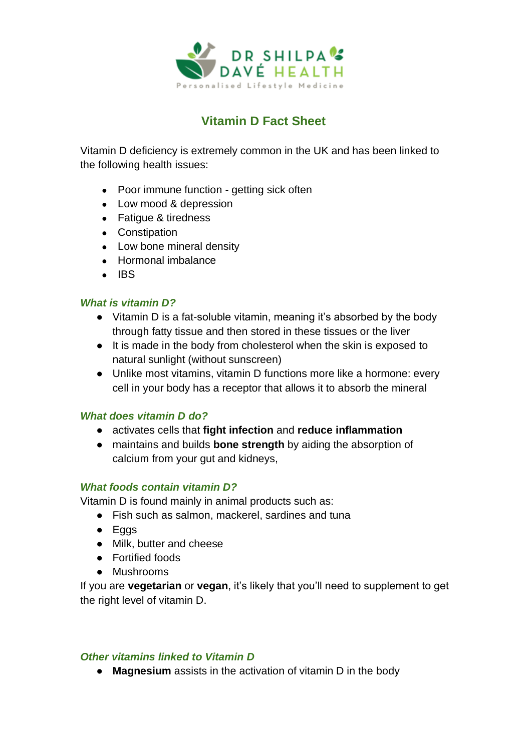

# **Vitamin D Fact Sheet**

Vitamin D deficiency is extremely common in the UK and has been linked to the following health issues:

- Poor immune function getting sick often
- Low mood & depression
- Fatigue & tiredness
- Constipation
- Low bone mineral density
- Hormonal imbalance
- $\bullet$  IBS

# *What is vitamin D?*

- Vitamin D is a fat-soluble vitamin, meaning it's absorbed by the body through fatty tissue and then stored in these tissues or the liver
- It is made in the body from cholesterol when the skin is exposed to natural sunlight (without sunscreen)
- Unlike most vitamins, vitamin D functions more like a hormone: every cell in your body has a receptor that allows it to absorb the mineral

# *What does vitamin D do?*

- activates cells that **fight infection** and **reduce inflammation**
- maintains and builds **bone strength** by aiding the absorption of calcium from your gut and kidneys,

# *What foods contain vitamin D?*

Vitamin D is found mainly in animal products such as:

- Fish such as salmon, mackerel, sardines and tuna
- Eggs
- Milk, butter and cheese
- Fortified foods
- Mushrooms

If you are **vegetarian** or **vegan**, it's likely that you'll need to supplement to get the right level of vitamin D.

# *Other vitamins linked to Vitamin D*

● **Magnesium** assists in the activation of vitamin D in the body